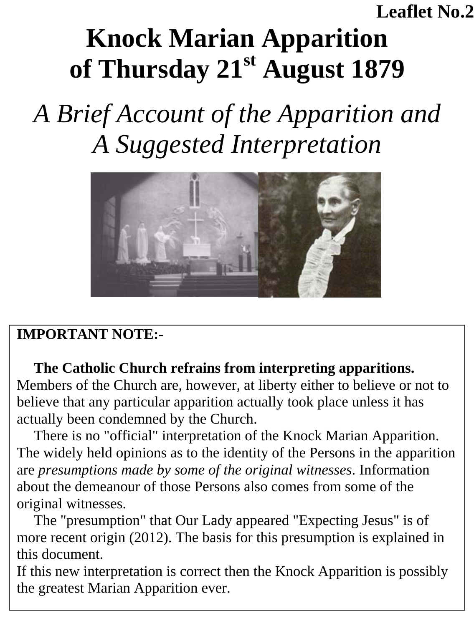### **Leaflet No.2**

# **Knock Marian Apparition of Thursday 21st August 1879**

# *A Brief Account of the Apparition and A Suggested Interpretation*



#### **IMPORTANT NOTE:-**

#### **The Catholic Church refrains from interpreting apparitions.** Members of the Church are, however, at liberty either to believe or not to believe that any particular apparition actually took place unless it has actually been condemned by the Church.

There is no "official" interpretation of the Knock Marian Apparition. The widely held opinions as to the identity of the Persons in the apparition are *presumptions made by some of the original witnesses*. Information about the demeanour of those Persons also comes from some of the original witnesses.

The "presumption" that Our Lady appeared "Expecting Jesus" is of more recent origin (2012). The basis for this presumption is explained in this document.

If this new interpretation is correct then the Knock Apparition is possibly the greatest Marian Apparition ever.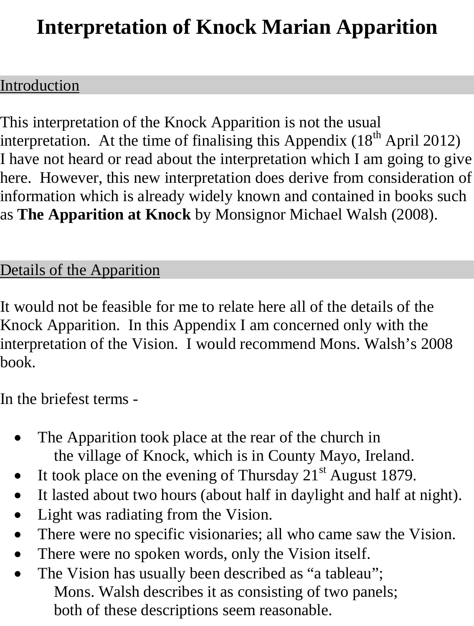### **Interpretation of Knock Marian Apparition**

#### Introduction

This interpretation of the Knock Apparition is not the usual interpretation. At the time of finalising this Appendix  $(18<sup>th</sup>$  April 2012) I have not heard or read about the interpretation which I am going to give here. However, this new interpretation does derive from consideration of information which is already widely known and contained in books such as **The Apparition at Knock** by Monsignor Michael Walsh (2008).

#### Details of the Apparition

It would not be feasible for me to relate here all of the details of the Knock Apparition. In this Appendix I am concerned only with the interpretation of the Vision. I would recommend Mons. Walsh's 2008 book.

In the briefest terms -

- The Apparition took place at the rear of the church in the village of Knock, which is in County Mayo, Ireland.
- It took place on the evening of Thursday  $21<sup>st</sup>$  August 1879.
- It lasted about two hours (about half in daylight and half at night).
- Light was radiating from the Vision.
- There were no specific visionaries; all who came saw the Vision.
- There were no spoken words, only the Vision itself.
- The Vision has usually been described as "a tableau"; Mons. Walsh describes it as consisting of two panels; both of these descriptions seem reasonable.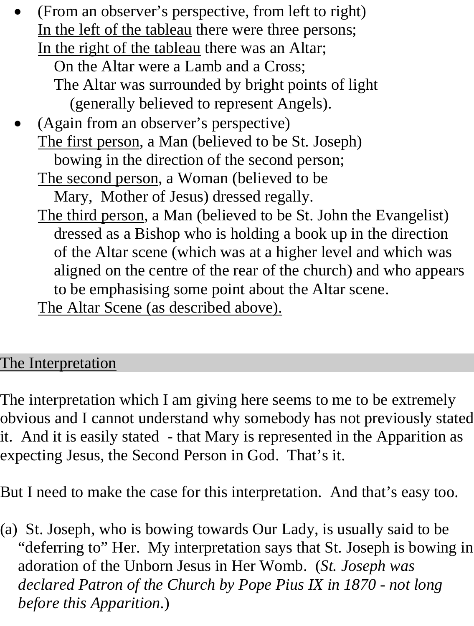• (From an observer's perspective, from left to right) In the left of the tableau there were three persons; In the right of the tableau there was an Altar; On the Altar were a Lamb and a Cross; The Altar was surrounded by bright points of light (generally believed to represent Angels). • (Again from an observer's perspective) The first person, a Man (believed to be St. Joseph) bowing in the direction of the second person; The second person, a Woman (believed to be Mary, Mother of Jesus) dressed regally. The third person, a Man (believed to be St. John the Evangelist) dressed as a Bishop who is holding a book up in the direction of the Altar scene (which was at a higher level and which was aligned on the centre of the rear of the church) and who appears to be emphasising some point about the Altar scene. The Altar Scene (as described above).

#### The Interpretation

The interpretation which I am giving here seems to me to be extremely obvious and I cannot understand why somebody has not previously stated it. And it is easily stated - that Mary is represented in the Apparition as expecting Jesus, the Second Person in God. That's it.

But I need to make the case for this interpretation. And that's easy too.

(a) St. Joseph, who is bowing towards Our Lady, is usually said to be "deferring to" Her. My interpretation says that St. Joseph is bowing in adoration of the Unborn Jesus in Her Womb. (*St. Joseph was declared Patron of the Church by Pope Pius IX in 1870 - not long before this Apparition*.)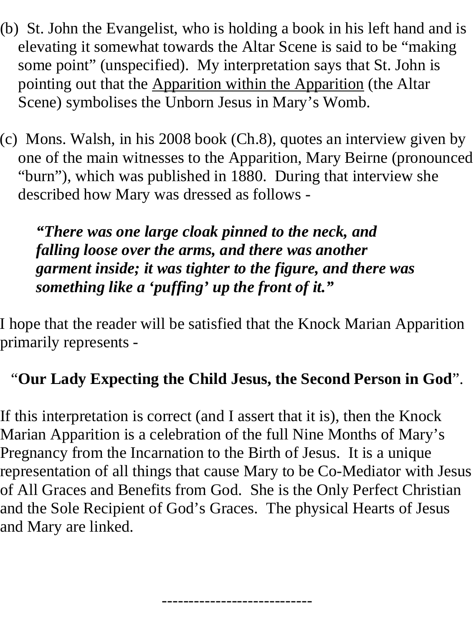- (b) St. John the Evangelist, who is holding a book in his left hand and is elevating it somewhat towards the Altar Scene is said to be "making some point" (unspecified). My interpretation says that St. John is pointing out that the Apparition within the Apparition (the Altar Scene) symbolises the Unborn Jesus in Mary's Womb.
- (c) Mons. Walsh, in his 2008 book (Ch.8), quotes an interview given by one of the main witnesses to the Apparition, Mary Beirne (pronounced "burn"), which was published in 1880. During that interview she described how Mary was dressed as follows -

*"There was one large cloak pinned to the neck, and falling loose over the arms, and there was another garment inside; it was tighter to the figure, and there was something like a 'puffing' up the front of it."*

I hope that the reader will be satisfied that the Knock Marian Apparition primarily represents -

#### "**Our Lady Expecting the Child Jesus, the Second Person in God**".

If this interpretation is correct (and I assert that it is), then the Knock Marian Apparition is a celebration of the full Nine Months of Mary's Pregnancy from the Incarnation to the Birth of Jesus. It is a unique representation of all things that cause Mary to be Co-Mediator with Jesus of All Graces and Benefits from God. She is the Only Perfect Christian and the Sole Recipient of God's Graces. The physical Hearts of Jesus and Mary are linked.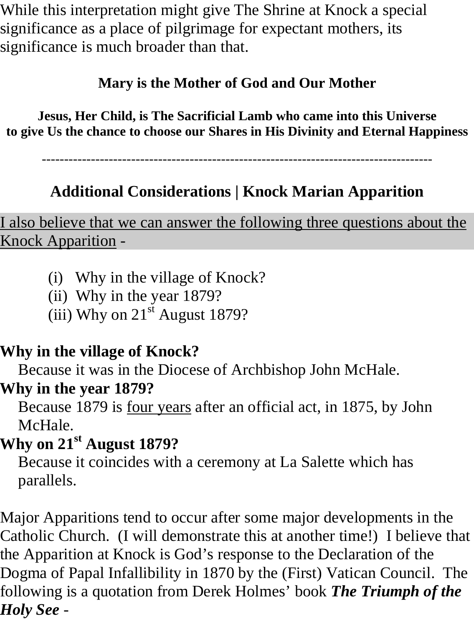While this interpretation might give The Shrine at Knock a special significance as a place of pilgrimage for expectant mothers, its significance is much broader than that.

#### **Mary is the Mother of God and Our Mother**

**Jesus, Her Child, is The Sacrificial Lamb who came into this Universe to give Us the chance to choose our Shares in His Divinity and Eternal Happiness**

---------------------------------------------------------------------------------------

#### **Additional Considerations | Knock Marian Apparition**

I also believe that we can answer the following three questions about the Knock Apparition -

- (i) Why in the village of Knock?
- (ii) Why in the year 1879?
- (iii) Why on  $21<sup>st</sup>$  August 1879?

#### **Why in the village of Knock?**

Because it was in the Diocese of Archbishop John McHale.

#### **Why in the year 1879?**

Because 1879 is four years after an official act, in 1875, by John McHale.

#### **Why on 21st August 1879?**

Because it coincides with a ceremony at La Salette which has parallels.

Major Apparitions tend to occur after some major developments in the Catholic Church. (I will demonstrate this at another time!) I believe that the Apparition at Knock is God's response to the Declaration of the Dogma of Papal Infallibility in 1870 by the (First) Vatican Council. The following is a quotation from Derek Holmes' book *The Triumph of the Holy See* -